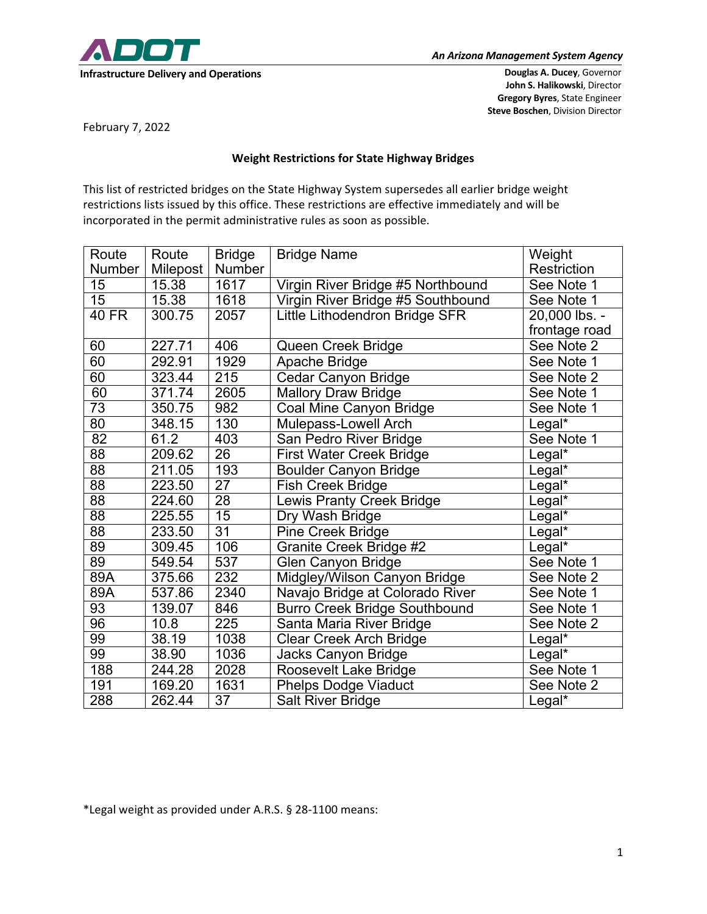

**John S. Halikowski**, Director **Gregory Byres**, State Engineer **Steve Boschen**, Division Director

February 7, 2022

## **Weight Restrictions for State Highway Bridges**

This list of restricted bridges on the State Highway System supersedes all earlier bridge weight restrictions lists issued by this office. These restrictions are effective immediately and will be incorporated in the permit administrative rules as soon as possible.

| Route           | Route               | <b>Bridge</b>    | <b>Bridge Name</b>                   | Weight             |
|-----------------|---------------------|------------------|--------------------------------------|--------------------|
| Number          | Milepost            | Number           |                                      | Restriction        |
| 15              | 15.38               | 1617             | Virgin River Bridge #5 Northbound    | See Note 1         |
| 15              | 15.38               | 1618             | Virgin River Bridge #5 Southbound    | See Note 1         |
| $40$ FR         | 300.75              | 2057             | Little Lithodendron Bridge SFR       | 20,000 lbs. -      |
|                 |                     |                  |                                      | frontage road      |
| 60              | $\overline{227}.71$ | 406              | Queen Creek Bridge                   | See Note 2         |
| 60              | 292.91              | 1929             | Apache Bridge                        | See Note 1         |
| 60              | 323.44              | 215              | <b>Cedar Canyon Bridge</b>           | See Note 2         |
| 60              | 371.74              | 2605             | <b>Mallory Draw Bridge</b>           | See Note 1         |
| $\overline{73}$ | 350.75              | 982              | Coal Mine Canyon Bridge              | See Note 1         |
| $\overline{80}$ | 348.15              | 130              | Mulepass-Lowell Arch                 | Legal*             |
| $\overline{82}$ | 61.2                | 403              | San Pedro River Bridge               | See Note 1         |
| $\overline{88}$ | 209.62              | $\overline{26}$  | <b>First Water Creek Bridge</b>      | $Legal*$           |
| $\overline{88}$ | 211.05              | 193              | <b>Boulder Canyon Bridge</b>         | Legal*             |
| $\overline{88}$ | 223.50              | $\overline{27}$  | Fish Creek Bridge                    | Legal*             |
| $\overline{88}$ | 224.60              | $\overline{28}$  | <b>Lewis Pranty Creek Bridge</b>     | Legal*             |
| $\overline{88}$ | 225.55              | 15               | Dry Wash Bridge                      | Legal*             |
| $\overline{88}$ | 233.50              | $\overline{31}$  | Pine Creek Bridge                    | Legal*             |
| 89              | 309.45              | 106              | Granite Creek Bridge #2              | Legal <sup>*</sup> |
| $\overline{89}$ | 549.54              | 537              | Glen Canyon Bridge                   | See Note 1         |
| 89A             | 375.66              | 232              | Midgley/Wilson Canyon Bridge         | See Note 2         |
| 89A             | 537.86              | 2340             | Navajo Bridge at Colorado River      | See Note 1         |
| $\overline{93}$ | 139.07              | 846              | <b>Burro Creek Bridge Southbound</b> | See Note 1         |
| $\overline{96}$ | 10.8                | $\overline{225}$ | Santa Maria River Bridge             | See Note 2         |
| 99              | 38.19               | 1038             | <b>Clear Creek Arch Bridge</b>       | Legal*             |
| 99              | 38.90               | 1036             | Jacks Canyon Bridge                  | Legal*             |
| 188             | $\sqrt{244}$ .28    | 2028             | Roosevelt Lake Bridge                | See Note 1         |
| 191             | 169.20              | 1631             | <b>Phelps Dodge Viaduct</b>          | See Note 2         |
| 288             | 262.44              | $\overline{37}$  | <b>Salt River Bridge</b>             | Legal*             |

\*Legal weight as provided under A.R.S. § 28-1100 means: